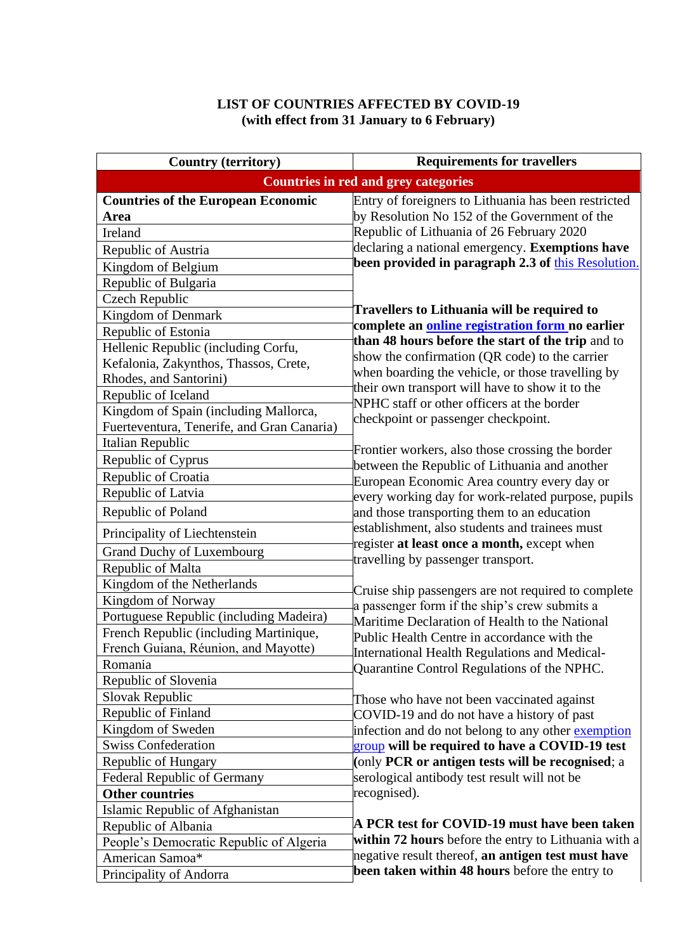## **LIST OF COUNTRIES AFFECTED BY COVID-19 (with effect from 31 January to 6 February)**

| <b>Country (territory)</b>                  | <b>Requirements for travellers</b>                                                                   |  |
|---------------------------------------------|------------------------------------------------------------------------------------------------------|--|
| <b>Countries in red and grey categories</b> |                                                                                                      |  |
| <b>Countries of the European Economic</b>   | Entry of foreigners to Lithuania has been restricted                                                 |  |
| Area                                        | by Resolution No 152 of the Government of the                                                        |  |
| Ireland                                     | Republic of Lithuania of 26 February 2020                                                            |  |
| Republic of Austria                         | declaring a national emergency. Exemptions have                                                      |  |
| Kingdom of Belgium                          | been provided in paragraph 2.3 of this Resolution.                                                   |  |
| Republic of Bulgaria                        |                                                                                                      |  |
| <b>Czech Republic</b>                       |                                                                                                      |  |
| Kingdom of Denmark                          | <b>Travellers to Lithuania will be required to</b>                                                   |  |
| Republic of Estonia                         | complete an <b>online registration form</b> no earlier                                               |  |
| Hellenic Republic (including Corfu,         | than 48 hours before the start of the trip and to                                                    |  |
| Kefalonia, Zakynthos, Thassos, Crete,       | show the confirmation (QR code) to the carrier                                                       |  |
| Rhodes, and Santorini)                      | when boarding the vehicle, or those travelling by                                                    |  |
| Republic of Iceland                         | their own transport will have to show it to the<br>NPHC staff or other officers at the border        |  |
| Kingdom of Spain (including Mallorca,       |                                                                                                      |  |
| Fuerteventura, Tenerife, and Gran Canaria)  | checkpoint or passenger checkpoint.                                                                  |  |
| Italian Republic                            | Frontier workers, also those crossing the border                                                     |  |
| Republic of Cyprus                          | between the Republic of Lithuania and another                                                        |  |
| Republic of Croatia                         | European Economic Area country every day or                                                          |  |
| Republic of Latvia                          | every working day for work-related purpose, pupils                                                   |  |
| Republic of Poland                          | and those transporting them to an education                                                          |  |
| Principality of Liechtenstein               | establishment, also students and trainees must                                                       |  |
| <b>Grand Duchy of Luxembourg</b>            | register at least once a month, except when                                                          |  |
| Republic of Malta                           | travelling by passenger transport.                                                                   |  |
| Kingdom of the Netherlands                  |                                                                                                      |  |
| Kingdom of Norway                           | Cruise ship passengers are not required to complete<br>a passenger form if the ship's crew submits a |  |
| Portuguese Republic (including Madeira)     | Maritime Declaration of Health to the National                                                       |  |
| French Republic (including Martinique,      | Public Health Centre in accordance with the                                                          |  |
| French Guiana, Réunion, and Mayotte)        | International Health Regulations and Medical-                                                        |  |
| Romania                                     | Quarantine Control Regulations of the NPHC.                                                          |  |
| Republic of Slovenia                        |                                                                                                      |  |
| Slovak Republic                             | Those who have not been vaccinated against                                                           |  |
| Republic of Finland                         | COVID-19 and do not have a history of past                                                           |  |
| Kingdom of Sweden                           | infection and do not belong to any other exemption                                                   |  |
| <b>Swiss Confederation</b>                  | group will be required to have a COVID-19 test                                                       |  |
| Republic of Hungary                         | (only PCR or antigen tests will be recognised; a                                                     |  |
| Federal Republic of Germany                 | serological antibody test result will not be                                                         |  |
| <b>Other countries</b>                      | recognised).                                                                                         |  |
| Islamic Republic of Afghanistan             |                                                                                                      |  |
| Republic of Albania                         | A PCR test for COVID-19 must have been taken                                                         |  |
| People's Democratic Republic of Algeria     | within 72 hours before the entry to Lithuania with a                                                 |  |
| American Samoa*                             | negative result thereof, an antigen test must have                                                   |  |
| Principality of Andorra                     | been taken within 48 hours before the entry to                                                       |  |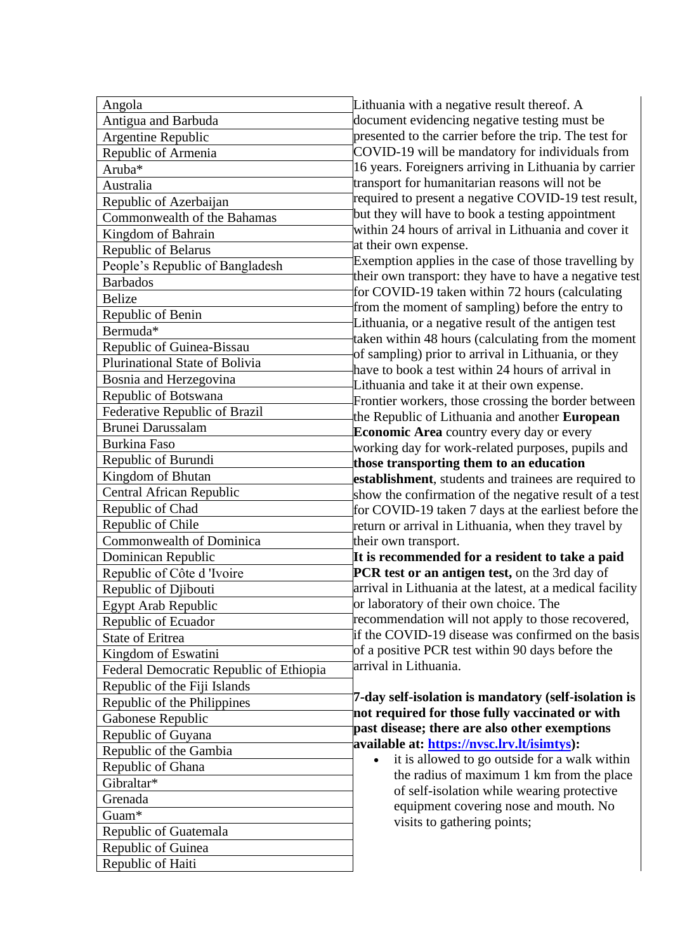| Angola                                         |                                                                                                         |
|------------------------------------------------|---------------------------------------------------------------------------------------------------------|
| Antigua and Barbuda                            | Lithuania with a negative result thereof. A<br>document evidencing negative testing must be             |
| Argentine Republic                             | presented to the carrier before the trip. The test for                                                  |
| Republic of Armenia                            | COVID-19 will be mandatory for individuals from                                                         |
|                                                | 16 years. Foreigners arriving in Lithuania by carrier                                                   |
| Aruba*                                         | transport for humanitarian reasons will not be                                                          |
| Australia                                      | required to present a negative COVID-19 test result,                                                    |
| Republic of Azerbaijan                         | but they will have to book a testing appointment                                                        |
| Commonwealth of the Bahamas                    | within 24 hours of arrival in Lithuania and cover it                                                    |
| Kingdom of Bahrain                             | at their own expense.                                                                                   |
| Republic of Belarus                            | Exemption applies in the case of those travelling by                                                    |
| People's Republic of Bangladesh                | their own transport: they have to have a negative test                                                  |
| <b>Barbados</b>                                |                                                                                                         |
| <b>Belize</b>                                  | for COVID-19 taken within 72 hours (calculating                                                         |
| Republic of Benin                              | from the moment of sampling) before the entry to<br>Lithuania, or a negative result of the antigen test |
| Bermuda*                                       | taken within 48 hours (calculating from the moment                                                      |
| Republic of Guinea-Bissau                      | of sampling) prior to arrival in Lithuania, or they                                                     |
| Plurinational State of Bolivia                 | have to book a test within 24 hours of arrival in                                                       |
| Bosnia and Herzegovina                         |                                                                                                         |
| Republic of Botswana                           | Lithuania and take it at their own expense.                                                             |
| Federative Republic of Brazil                  | Frontier workers, those crossing the border between                                                     |
| Brunei Darussalam                              | the Republic of Lithuania and another European                                                          |
| <b>Burkina Faso</b>                            | Economic Area country every day or every                                                                |
| Republic of Burundi                            | working day for work-related purposes, pupils and                                                       |
| Kingdom of Bhutan                              | those transporting them to an education<br>establishment, students and trainees are required to         |
| Central African Republic                       | show the confirmation of the negative result of a test                                                  |
| Republic of Chad                               | for COVID-19 taken 7 days at the earliest before the                                                    |
| Republic of Chile                              | return or arrival in Lithuania, when they travel by                                                     |
| <b>Commonwealth of Dominica</b>                | their own transport.                                                                                    |
| Dominican Republic                             | It is recommended for a resident to take a paid                                                         |
| Republic of Côte d 'Ivoire                     | PCR test or an antigen test, on the 3rd day of                                                          |
| Republic of Djibouti                           | arrival in Lithuania at the latest, at a medical facility                                               |
| Egypt Arab Republic                            | or laboratory of their own choice. The                                                                  |
|                                                | recommendation will not apply to those recovered,                                                       |
| Republic of Ecuador<br><b>State of Eritrea</b> | if the COVID-19 disease was confirmed on the basis                                                      |
|                                                | of a positive PCR test within 90 days before the                                                        |
| Kingdom of Eswatini                            | arrival in Lithuania.                                                                                   |
| Federal Democratic Republic of Ethiopia        |                                                                                                         |
| Republic of the Fiji Islands                   | 7-day self-isolation is mandatory (self-isolation is                                                    |
| Republic of the Philippines                    | not required for those fully vaccinated or with                                                         |
| Gabonese Republic                              | past disease; there are also other exemptions                                                           |
| Republic of Guyana                             | available at: https://nvsc.lrv.lt/isimtys):                                                             |
| Republic of the Gambia                         | it is allowed to go outside for a walk within<br>$\bullet$                                              |
| Republic of Ghana                              | the radius of maximum 1 km from the place                                                               |
| Gibraltar*                                     | of self-isolation while wearing protective                                                              |
| Grenada                                        | equipment covering nose and mouth. No                                                                   |
| Guam*                                          | visits to gathering points;                                                                             |
| Republic of Guatemala                          |                                                                                                         |
| Republic of Guinea                             |                                                                                                         |
| Republic of Haiti                              |                                                                                                         |
|                                                |                                                                                                         |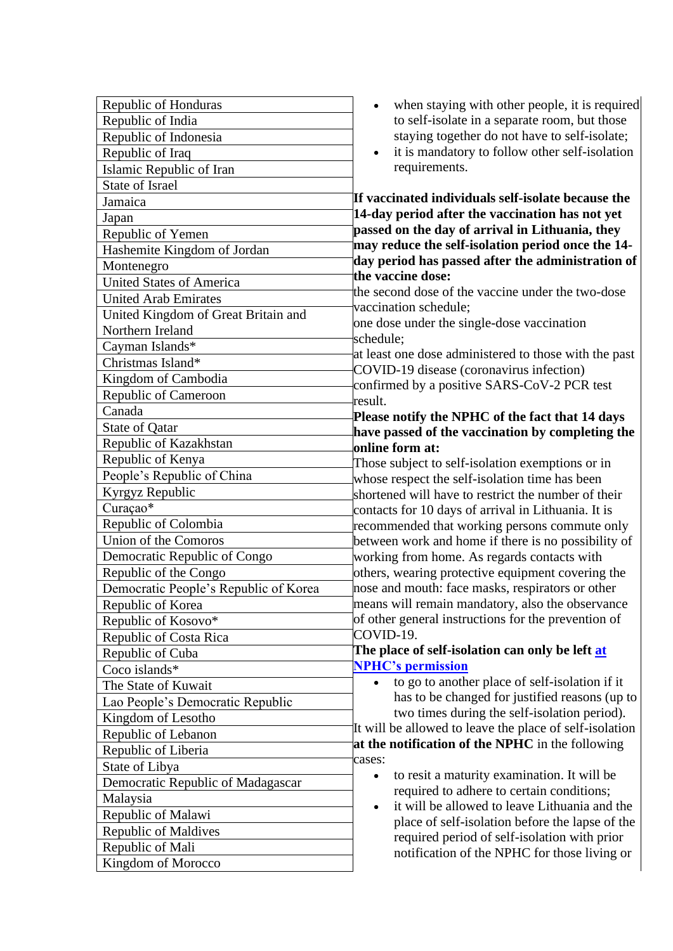| Republic of Honduras                  | when staying with other people, it is required<br>$\bullet$                                    |
|---------------------------------------|------------------------------------------------------------------------------------------------|
| Republic of India                     | to self-isolate in a separate room, but those                                                  |
| Republic of Indonesia                 | staying together do not have to self-isolate;                                                  |
| Republic of Iraq                      | it is mandatory to follow other self-isolation<br>$\bullet$                                    |
| Islamic Republic of Iran              | requirements.                                                                                  |
| <b>State of Israel</b>                |                                                                                                |
| Jamaica                               | If vaccinated individuals self-isolate because the                                             |
| Japan                                 | 14-day period after the vaccination has not yet                                                |
| Republic of Yemen                     | passed on the day of arrival in Lithuania, they                                                |
| Hashemite Kingdom of Jordan           | may reduce the self-isolation period once the 14-                                              |
| Montenegro                            | day period has passed after the administration of                                              |
| <b>United States of America</b>       | the vaccine dose:                                                                              |
| <b>United Arab Emirates</b>           | the second dose of the vaccine under the two-dose                                              |
| United Kingdom of Great Britain and   | vaccination schedule;                                                                          |
| Northern Ireland                      | one dose under the single-dose vaccination<br>schedule;                                        |
| Cayman Islands*                       | at least one dose administered to those with the past                                          |
| Christmas Island*                     | COVID-19 disease (coronavirus infection)                                                       |
| Kingdom of Cambodia                   | confirmed by a positive SARS-CoV-2 PCR test                                                    |
| Republic of Cameroon                  | result.                                                                                        |
| Canada                                | Please notify the NPHC of the fact that 14 days                                                |
| State of Qatar                        | have passed of the vaccination by completing the                                               |
| Republic of Kazakhstan                | online form at:                                                                                |
| Republic of Kenya                     | Those subject to self-isolation exemptions or in                                               |
| People's Republic of China            | whose respect the self-isolation time has been                                                 |
| Kyrgyz Republic                       | shortened will have to restrict the number of their                                            |
| Curaçao*                              | contacts for 10 days of arrival in Lithuania. It is                                            |
| Republic of Colombia                  | recommended that working persons commute only                                                  |
| Union of the Comoros                  | between work and home if there is no possibility of                                            |
| Democratic Republic of Congo          | working from home. As regards contacts with                                                    |
| Republic of the Congo                 | others, wearing protective equipment covering the                                              |
| Democratic People's Republic of Korea | nose and mouth: face masks, respirators or other                                               |
| Republic of Korea                     | means will remain mandatory, also the observance                                               |
| Republic of Kosovo*                   | of other general instructions for the prevention of                                            |
| Republic of Costa Rica                | COVID-19.                                                                                      |
| Republic of Cuba                      | The place of self-isolation can only be left at                                                |
| Coco islands*                         | <b>NPHC's permission</b>                                                                       |
| The State of Kuwait                   | to go to another place of self-isolation if it                                                 |
| Lao People's Democratic Republic      | has to be changed for justified reasons (up to<br>two times during the self-isolation period). |
| Kingdom of Lesotho                    | It will be allowed to leave the place of self-isolation                                        |
| Republic of Lebanon                   | at the notification of the NPHC in the following                                               |
| Republic of Liberia                   | cases:                                                                                         |
| State of Libya                        | to resit a maturity examination. It will be<br>$\bullet$                                       |
| Democratic Republic of Madagascar     | required to adhere to certain conditions;                                                      |
| Malaysia                              | it will be allowed to leave Lithuania and the<br>$\bullet$                                     |
| Republic of Malawi                    | place of self-isolation before the lapse of the                                                |
| <b>Republic of Maldives</b>           | required period of self-isolation with prior                                                   |
| Republic of Mali                      | notification of the NPHC for those living or                                                   |
| Kingdom of Morocco                    |                                                                                                |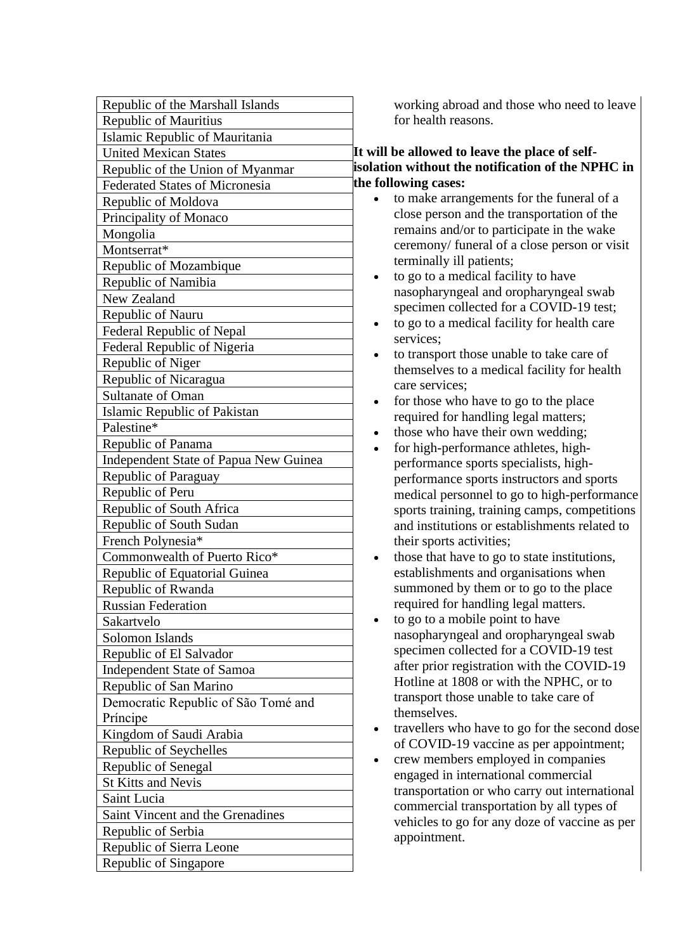| Republic of the Marshall Islands      |  |  |
|---------------------------------------|--|--|
| <b>Republic of Mauritius</b>          |  |  |
| Islamic Republic of Mauritania        |  |  |
| <b>United Mexican States</b>          |  |  |
| Republic of the Union of Myanmar      |  |  |
| <b>Federated States of Micronesia</b> |  |  |
| Republic of Moldova                   |  |  |
| Principality of Monaco                |  |  |
| Mongolia                              |  |  |
| Montserrat*                           |  |  |
| Republic of Mozambique                |  |  |
| Republic of Namibia                   |  |  |
| New Zealand                           |  |  |
| Republic of Nauru                     |  |  |
| Federal Republic of Nepal             |  |  |
| Federal Republic of Nigeria           |  |  |
| Republic of Niger                     |  |  |
| Republic of Nicaragua                 |  |  |
| <b>Sultanate of Oman</b>              |  |  |
| Islamic Republic of Pakistan          |  |  |
| Palestine*                            |  |  |
| Republic of Panama                    |  |  |
| Independent State of Papua New Guinea |  |  |
| Republic of Paraguay                  |  |  |
| Republic of Peru                      |  |  |
| Republic of South Africa              |  |  |
| Republic of South Sudan               |  |  |
| French Polynesia*                     |  |  |
| Commonwealth of Puerto Rico*          |  |  |
| Republic of Equatorial Guinea         |  |  |
| Republic of Rwanda                    |  |  |
| <b>Russian Federation</b>             |  |  |
| Sakartvelo                            |  |  |
| Solomon Islands                       |  |  |
| Republic of El Salvador               |  |  |
| <b>Independent State of Samoa</b>     |  |  |
| Republic of San Marino                |  |  |
| Democratic Republic of São Tomé and   |  |  |
| Príncipe                              |  |  |
| Kingdom of Saudi Arabia               |  |  |
| Republic of Seychelles                |  |  |
| Republic of Senegal                   |  |  |
| <b>St Kitts and Nevis</b>             |  |  |
| Saint Lucia                           |  |  |
| Saint Vincent and the Grenadines      |  |  |
| Republic of Serbia                    |  |  |
| Republic of Sierra Leone              |  |  |
| Republic of Singapore                 |  |  |

working abroad and those who need to leave for health reasons.

## **It will be allowed to leave the place of selfisolation without the notification of the NPHC in the following cases:**

- to make arrangements for the funeral of a close person and the transportation of the remains and/or to participate in the wake ceremony/ funeral of a close person or visit terminally ill patients;
- to go to a medical facility to have nasopharyngeal and oropharyngeal swab specimen collected for a COVID-19 test;
- to go to a medical facility for health care services;
- to transport those unable to take care of themselves to a medical facility for health care services;
- for those who have to go to the place required for handling legal matters;
- those who have their own wedding;
- for high-performance athletes, highperformance sports specialists, highperformance sports instructors and sports medical personnel to go to high-performance sports training, training camps, competitions and institutions or establishments related to their sports activities;
- those that have to go to state institutions, establishments and organisations when summoned by them or to go to the place required for handling legal matters.
- to go to a mobile point to have nasopharyngeal and oropharyngeal swab specimen collected for a COVID-19 test after prior registration with the COVID-19 Hotline at 1808 or with the NPHC, or to transport those unable to take care of themselves.
- travellers who have to go for the second dose of COVID-19 vaccine as per appointment;
- crew members employed in companies engaged in international commercial transportation or who carry out international commercial transportation by all types of vehicles to go for any doze of vaccine as per appointment.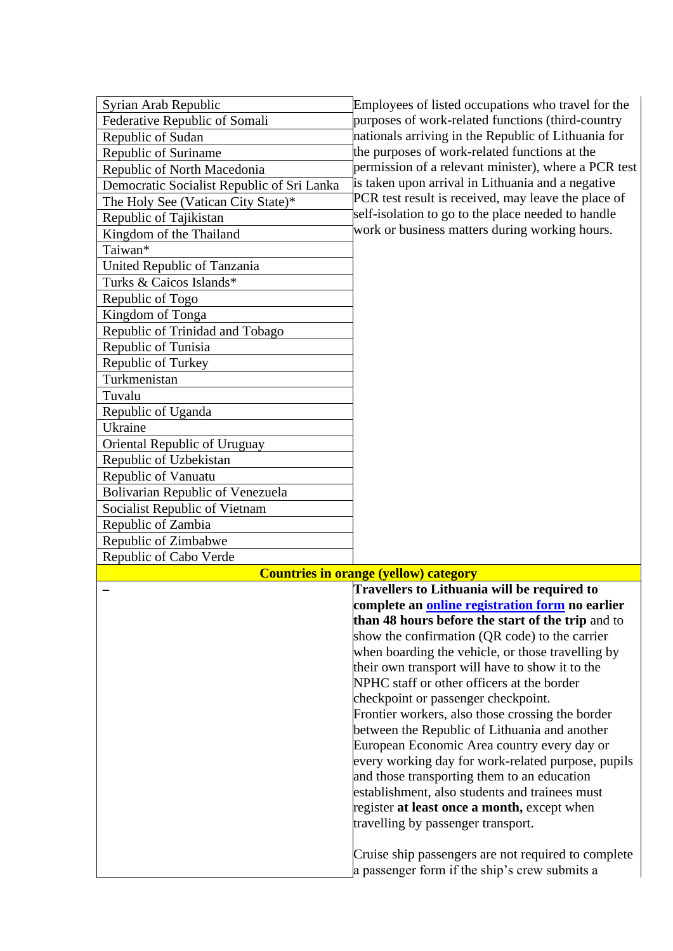| Employees of listed occupations who travel for the<br>purposes of work-related functions (third-country<br>nationals arriving in the Republic of Lithuania for                                                                                                     |
|--------------------------------------------------------------------------------------------------------------------------------------------------------------------------------------------------------------------------------------------------------------------|
|                                                                                                                                                                                                                                                                    |
|                                                                                                                                                                                                                                                                    |
|                                                                                                                                                                                                                                                                    |
| permission of a relevant minister), where a PCR test                                                                                                                                                                                                               |
|                                                                                                                                                                                                                                                                    |
| PCR test result is received, may leave the place of                                                                                                                                                                                                                |
|                                                                                                                                                                                                                                                                    |
|                                                                                                                                                                                                                                                                    |
|                                                                                                                                                                                                                                                                    |
|                                                                                                                                                                                                                                                                    |
|                                                                                                                                                                                                                                                                    |
|                                                                                                                                                                                                                                                                    |
|                                                                                                                                                                                                                                                                    |
|                                                                                                                                                                                                                                                                    |
|                                                                                                                                                                                                                                                                    |
|                                                                                                                                                                                                                                                                    |
|                                                                                                                                                                                                                                                                    |
|                                                                                                                                                                                                                                                                    |
|                                                                                                                                                                                                                                                                    |
|                                                                                                                                                                                                                                                                    |
|                                                                                                                                                                                                                                                                    |
|                                                                                                                                                                                                                                                                    |
|                                                                                                                                                                                                                                                                    |
|                                                                                                                                                                                                                                                                    |
|                                                                                                                                                                                                                                                                    |
|                                                                                                                                                                                                                                                                    |
|                                                                                                                                                                                                                                                                    |
|                                                                                                                                                                                                                                                                    |
|                                                                                                                                                                                                                                                                    |
|                                                                                                                                                                                                                                                                    |
|                                                                                                                                                                                                                                                                    |
| complete an online registration form no earlier                                                                                                                                                                                                                    |
| than 48 hours before the start of the trip and to                                                                                                                                                                                                                  |
|                                                                                                                                                                                                                                                                    |
|                                                                                                                                                                                                                                                                    |
|                                                                                                                                                                                                                                                                    |
|                                                                                                                                                                                                                                                                    |
|                                                                                                                                                                                                                                                                    |
|                                                                                                                                                                                                                                                                    |
|                                                                                                                                                                                                                                                                    |
| every working day for work-related purpose, pupils                                                                                                                                                                                                                 |
|                                                                                                                                                                                                                                                                    |
|                                                                                                                                                                                                                                                                    |
|                                                                                                                                                                                                                                                                    |
|                                                                                                                                                                                                                                                                    |
|                                                                                                                                                                                                                                                                    |
| Cruise ship passengers are not required to complete                                                                                                                                                                                                                |
|                                                                                                                                                                                                                                                                    |
| is taken upon arrival in Lithuania and a negative<br>self-isolation to go to the place needed to handle<br>work or business matters during working hours.<br>when boarding the vehicle, or those travelling by<br>Frontier workers, also those crossing the border |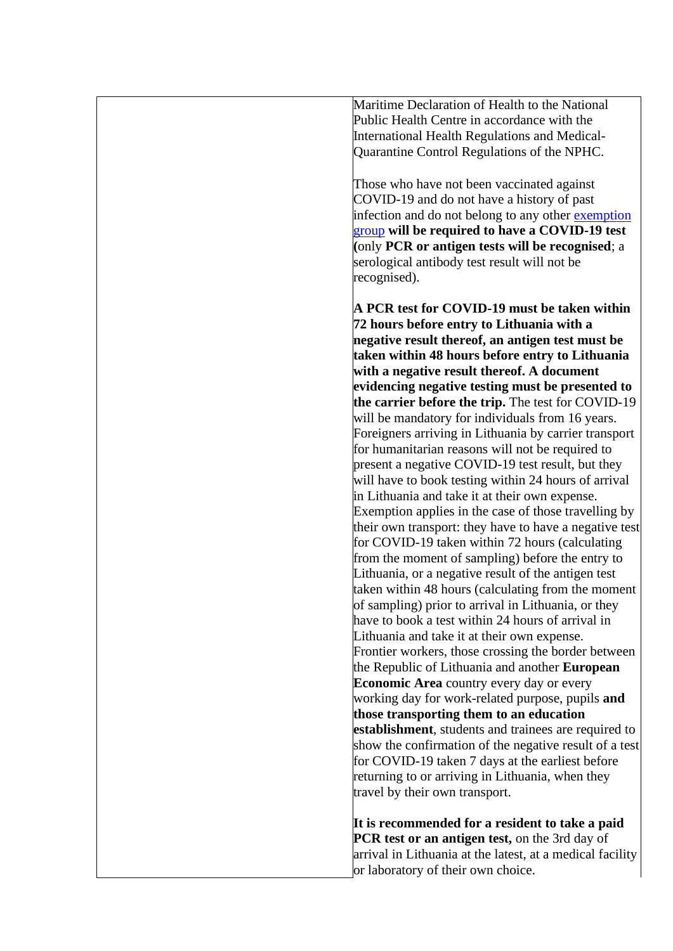Maritime Declaration of Health to the National Public Health Centre in accordance with the International Health Regulations and Medical-Quarantine Control Regulations of the NPHC.

Those who have not been vaccinated against COVID-19 and do not have a history of past infection and do not belong to any other exemption [group](https://nvsc.lrv.lt/isimtys) **will be required to have a COVID-19 test (**only **PCR or antigen tests will be recognised**; a serological antibody test result will not be recognised).

**A PCR test for COVID-19 must be taken within 72 hours before entry to Lithuania with a negative result thereof, an antigen test must be taken within 48 hours before entry to Lithuania with a negative result thereof. A document evidencing negative testing must be presented to the carrier before the trip.** The test for COVID-19 will be mandatory for individuals from 16 years. Foreigners arriving in Lithuania by carrier transport for humanitarian reasons will not be required to present a negative COVID-19 test result, but they will have to book testing within 24 hours of arrival in Lithuania and take it at their own expense. Exemption applies in the case of those travelling by their own transport: they have to have a negative test for COVID-19 taken within 72 hours (calculating from the moment of sampling) before the entry to Lithuania, or a negative result of the antigen test taken within 48 hours (calculating from the moment of sampling) prior to arrival in Lithuania, or they have to book a test within 24 hours of arrival in Lithuania and take it at their own expense. Frontier workers, those crossing the border between the Republic of Lithuania and another **European Economic Area** country every day or every working day for work-related purpose, pupils **and those transporting them to an education establishment**, students and trainees are required to show the confirmation of the negative result of a test for COVID-19 taken 7 days at the earliest before returning to or arriving in Lithuania, when they travel by their own transport.

**It is recommended for a resident to take a paid PCR** test or an antigen test, on the 3rd day of arrival in Lithuania at the latest, at a medical facility or laboratory of their own choice.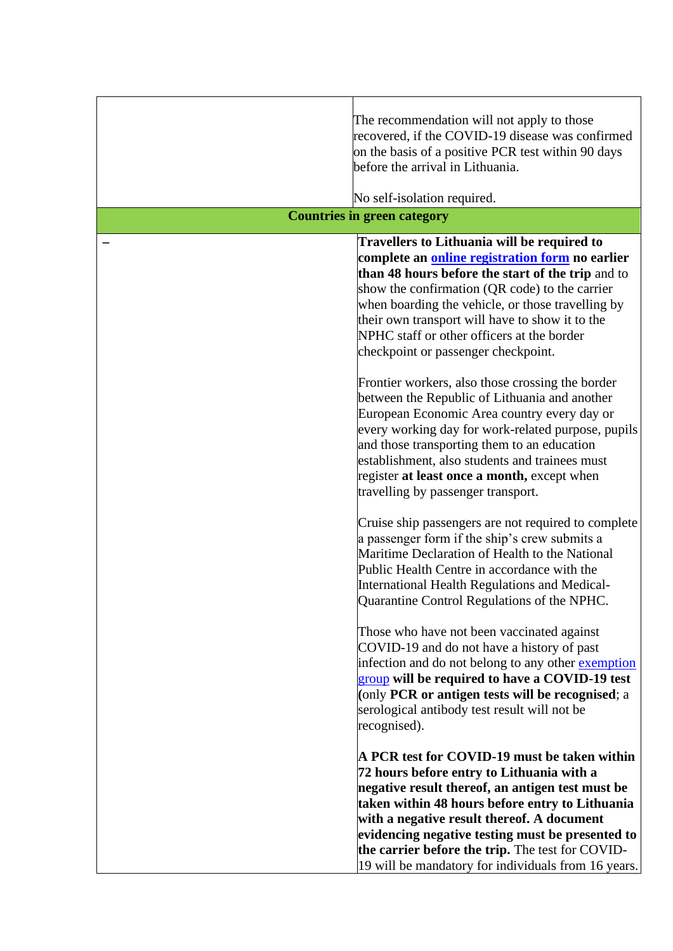| The recommendation will not apply to those<br>recovered, if the COVID-19 disease was confirmed<br>on the basis of a positive PCR test within 90 days<br>before the arrival in Lithuania.<br>No self-isolation required.                                                                                                                                                                                       |
|---------------------------------------------------------------------------------------------------------------------------------------------------------------------------------------------------------------------------------------------------------------------------------------------------------------------------------------------------------------------------------------------------------------|
| <b>Countries in green category</b>                                                                                                                                                                                                                                                                                                                                                                            |
| Travellers to Lithuania will be required to<br>complete an <b>online registration form</b> no earlier<br>than 48 hours before the start of the trip and to<br>show the confirmation (QR code) to the carrier<br>when boarding the vehicle, or those travelling by<br>their own transport will have to show it to the<br>NPHC staff or other officers at the border<br>checkpoint or passenger checkpoint.     |
| Frontier workers, also those crossing the border<br>between the Republic of Lithuania and another<br>European Economic Area country every day or<br>every working day for work-related purpose, pupils<br>and those transporting them to an education<br>establishment, also students and trainees must<br>register at least once a month, except when<br>travelling by passenger transport.                  |
| Cruise ship passengers are not required to complete<br>a passenger form if the ship's crew submits a<br>Maritime Declaration of Health to the National<br>Public Health Centre in accordance with the<br>International Health Regulations and Medical-<br>Quarantine Control Regulations of the NPHC.                                                                                                         |
| Those who have not been vaccinated against<br>COVID-19 and do not have a history of past<br>infection and do not belong to any other exemption<br>group will be required to have a COVID-19 test<br>(only PCR or antigen tests will be recognised; a<br>serological antibody test result will not be<br>recognised).                                                                                          |
| A PCR test for COVID-19 must be taken within<br>72 hours before entry to Lithuania with a<br>negative result thereof, an antigen test must be<br>taken within 48 hours before entry to Lithuania<br>with a negative result thereof. A document<br>evidencing negative testing must be presented to<br>the carrier before the trip. The test for COVID-<br>19 will be mandatory for individuals from 16 years. |